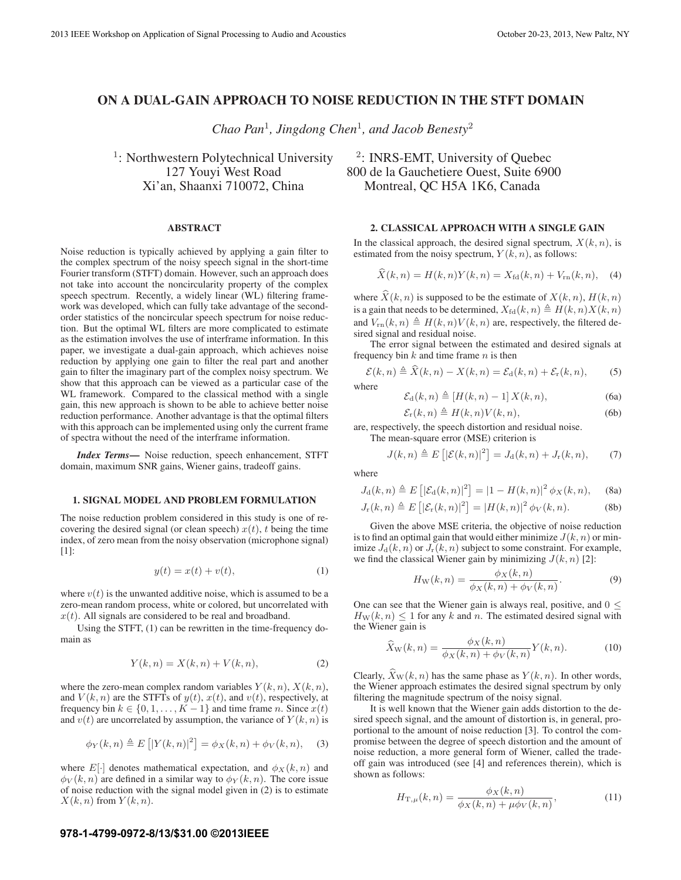# ON A DUAL-GAIN APPROACH TO NOISE REDUCTION IN THE STFT DOMAIN

*Chao Pan*<sup>1</sup>*, Jingdong Chen*<sup>1</sup>*, and Jacob Benesty*<sup>2</sup>

<sup>1</sup>: Northwestern Polytechnical University  $\frac{2}{\cdot}$  INRS-EMT, University of Quebec

#### ABSTRACT

Noise reduction is typically achieved by applying a gain filter to the complex spectrum of the noisy speech signal in the short-time Fourier transform (STFT) domain. However, such an approach does not take into account the noncircularity property of the complex speech spectrum. Recently, a widely linear (WL) filtering framework was developed, which can fully take advantage of the secondorder statistics of the noncircular speech spectrum for noise reduction. But the optimal WL filters are more complicated to estimate as the estimation involves the use of interframe information. In this paper, we investigate a dual-gain approach, which achieves noise reduction by applying one gain to filter the real part and another gain to filter the imaginary part of the complex noisy spectrum. We show that this approach can be viewed as a particular case of the WL framework. Compared to the classical method with a single gain, this new approach is shown to be able to achieve better noise reduction performance. Another advantage is that the optimal filters with this approach can be implemented using only the current frame of spectra without the need of the interframe information.

*Index Terms*— Noise reduction, speech enhancement, STFT domain, maximum SNR gains, Wiener gains, tradeoff gains.

#### 1. SIGNAL MODEL AND PROBLEM FORMULATION

The noise reduction problem considered in this study is one of recovering the desired signal (or clean speech)  $x(t)$ , t being the time index, of zero mean from the noisy observation (microphone signal) [1]:

$$
y(t) = x(t) + v(t),
$$
\n<sup>(1)</sup>

where  $v(t)$  is the unwanted additive noise, which is assumed to be a zero-mean random process, white or colored, but uncorrelated with  $x(t)$ . All signals are considered to be real and broadband.

Using the STFT, (1) can be rewritten in the time-frequency domain as

$$
Y(k,n) = X(k,n) + V(k,n),\tag{2}
$$

where the zero-mean complex random variables  $Y(k, n)$ ,  $X(k, n)$ , and  $V(k, n)$  are the STFTs of  $y(t)$ ,  $x(t)$ , and  $v(t)$ , respectively, at frequency bin  $k \in \{0, 1, \ldots, K - 1\}$  and time frame n. Since  $x(t)$ and  $v(t)$  are uncorrelated by assumption, the variance of  $Y(k, n)$  is

$$
\phi_Y(k,n) \triangleq E\left[|Y(k,n)|^2\right] = \phi_X(k,n) + \phi_V(k,n), \quad (3)
$$

where  $E[\cdot]$  denotes mathematical expectation, and  $\phi_X(k, n)$  and  $\phi_V(k,n)$  are defined in a similar way to  $\phi_Y(k,n)$ . The core issue of noise reduction with the signal model given in (2) is to estimate  $X(k, n)$  from  $Y(k, n)$ .

# 127 Youyi West Road 800 de la Gauchetiere Ouest, Suite 6900 Xi'an, Shaanxi 710072, China Montreal, QC H5A 1K6, Canada

#### 2. CLASSICAL APPROACH WITH A SINGLE GAIN

In the classical approach, the desired signal spectrum,  $X(k, n)$ , is estimated from the noisy spectrum,  $Y(k, n)$ , as follows:

$$
X(k,n) = H(k,n)Y(k,n) = X_{\text{fd}}(k,n) + V_{\text{rn}}(k,n), \quad (4)
$$

where  $\hat{X}(k, n)$  is supposed to be the estimate of  $X(k, n)$ ,  $H(k, n)$ is a gain that needs to be determined,  $X_{\text{fd}}(k,n) \triangleq H(k,n)X(k,n)$ and  $V_{\text{rn}}(k, n) \triangleq H(k, n)V(k, n)$  are, respectively, the filtered desired signal and residual noise.

The error signal between the estimated and desired signals at frequency bin  $k$  and time frame  $n$  is then

$$
\mathcal{E}(k,n) \triangleq \hat{X}(k,n) - X(k,n) = \mathcal{E}_{d}(k,n) + \mathcal{E}_{r}(k,n), \tag{5}
$$

where

$$
\mathcal{E}_{\mathrm{d}}(k,n) \triangleq [H(k,n) - 1] X(k,n), \tag{6a}
$$

$$
\mathcal{E}_{\rm r}(k,n) \triangleq H(k,n)V(k,n),\tag{6b}
$$

are, respectively, the speech distortion and residual noise. The mean-square error (MSE) criterion is

$$
J(k,n) \triangleq E\left[|\mathcal{E}(k,n)|^2\right] = J_d(k,n) + J_r(k,n),\tag{7}
$$

where

$$
J_{\rm d}(k,n) \triangleq E\left[|\mathcal{E}_{\rm d}(k,n)|^2\right] = |1 - H(k,n)|^2 \phi_X(k,n), \quad \text{(8a)}
$$

$$
J_{\mathbf{r}}(k,n) \triangleq E\left[|\mathcal{E}_{\mathbf{r}}(k,n)|^2\right] = |H(k,n)|^2 \phi_V(k,n). \tag{8b}
$$

Given the above MSE criteria, the objective of noise reduction is to find an optimal gain that would either minimize  $J(k, n)$  or minimize  $J_d(k, n)$  or  $J_r(k, n)$  subject to some constraint. For example, we find the classical Wiener gain by minimizing  $J(k, n)$  [2]:

$$
H_{\mathcal{W}}(k,n) = \frac{\phi_X(k,n)}{\phi_X(k,n) + \phi_V(k,n)}.
$$
\n(9)

One can see that the Wiener gain is always real, positive, and  $0 \leq$  $H_W(k, n) \leq 1$  for any k and n. The estimated desired signal with the Wiener gain is

$$
\widehat{X}_{\mathcal{W}}(k,n) = \frac{\phi_X(k,n)}{\phi_X(k,n) + \phi_V(k,n)} Y(k,n). \tag{10}
$$

Clearly,  $X_{\text{W}}(k, n)$  has the same phase as  $Y(k, n)$ . In other words, the Wiener approach estimates the desired signal spectrum by only filtering the magnitude spectrum of the noisy signal.

It is well known that the Wiener gain adds distortion to the desired speech signal, and the amount of distortion is, in general, proportional to the amount of noise reduction [3]. To control the compromise between the degree of speech distortion and the amount of noise reduction, a more general form of Wiener, called the tradeoff gain was introduced (see [4] and references therein), which is shown as follows:

$$
H_{\mathcal{T},\mu}(k,n) = \frac{\phi_X(k,n)}{\phi_X(k,n) + \mu \phi_V(k,n)},
$$
\n(11)

#### **978-1-4799-0972-8/13/\$31.00 ©2013IEEE**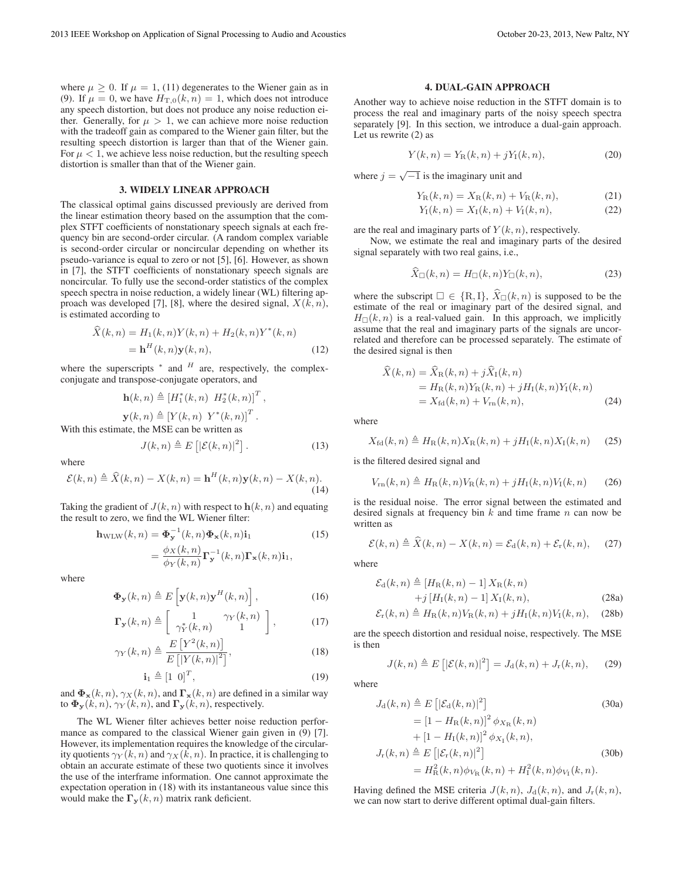where  $\mu > 0$ . If  $\mu = 1$ , (11) degenerates to the Wiener gain as in (9). If  $\mu = 0$ , we have  $H_{\text{T},0}(k,n) = 1$ , which does not introduce any speech distortion, but does not produce any noise reduction either. Generally, for  $\mu > 1$ , we can achieve more noise reduction with the tradeoff gain as compared to the Wiener gain filter, but the resulting speech distortion is larger than that of the Wiener gain. For  $\mu < 1$ , we achieve less noise reduction, but the resulting speech distortion is smaller than that of the Wiener gain.

#### 3. WIDELY LINEAR APPROACH

The classical optimal gains discussed previously are derived from the linear estimation theory based on the assumption that the complex STFT coefficients of nonstationary speech signals at each frequency bin are second-order circular. (A random complex variable is second-order circular or noncircular depending on whether its pseudo-variance is equal to zero or not [5], [6]. However, as shown in [7], the STFT coefficients of nonstationary speech signals are noncircular. To fully use the second-order statistics of the complex speech spectra in noise reduction, a widely linear (WL) filtering approach was developed [7], [8], where the desired signal,  $X(k, n)$ , is estimated according to

$$
\dot{X}(k,n) = H_1(k,n)Y(k,n) + H_2(k,n)Y^*(k,n)
$$
  
=  $\mathbf{h}^H(k,n)\mathbf{y}(k,n),$  (12)

where the superscripts  $*$  and  $H$  are, respectively, the complexconjugate and transpose-conjugate operators, and

$$
\mathbf{h}(k,n) \triangleq [H_1^*(k,n) \ H_2^*(k,n)]^T,
$$
  

$$
\mathbf{y}(k,n) \triangleq [Y(k,n) \ Y^*(k,n)]^T.
$$

With this estimate, the MSE can be written as

$$
J(k,n) \triangleq E\left[|\mathcal{E}(k,n)|^2\right].
$$
 (13)

where

$$
\mathcal{E}(k,n) \triangleq \widehat{X}(k,n) - X(k,n) = \mathbf{h}^H(k,n)\mathbf{y}(k,n) - X(k,n). \tag{14}
$$

Taking the gradient of  $J(k, n)$  with respect to  $h(k, n)$  and equating the result to zero, we find the WL Wiener filter:

$$
\mathbf{h}_{\text{WLW}}(k, n) = \mathbf{\Phi}_{\mathbf{y}}^{-1}(k, n) \mathbf{\Phi}_{\mathbf{x}}(k, n) \mathbf{i}_{1}
$$
\n
$$
= \frac{\phi_{X}(k, n)}{\phi_{Y}(k, n)} \mathbf{\Gamma}_{\mathbf{y}}^{-1}(k, n) \mathbf{\Gamma}_{\mathbf{x}}(k, n) \mathbf{i}_{1},
$$
\n(15)

where

$$
\mathbf{\Phi}_{\mathbf{y}}(k,n) \triangleq E\left[\mathbf{y}(k,n)\mathbf{y}^{H}(k,n)\right],
$$
\n(16)

$$
\Gamma_{\mathbf{y}}(k,n) \triangleq \left[ \begin{array}{cc} 1 & \gamma_Y(k,n) \\ \gamma_Y^*(k,n) & 1 \end{array} \right],\tag{17}
$$

$$
\gamma_Y(k,n) \triangleq \frac{E\left[Y^2(k,n)\right]}{E\left[|Y(k,n)|^2\right]},\tag{18}
$$

$$
\mathbf{i}_1 \triangleq [1 \ 0]^T,\tag{19}
$$

and  $\Phi$ **x**(k, n),  $\gamma$ **x**(k, n), and  $\Gamma$ **x**(k, n) are defined in a similar way to  $\Phi_{\mathbf{y}}(k, n)$ ,  $\gamma_Y(k, n)$ , and  $\Gamma_{\mathbf{y}}(k, n)$ , respectively.

The WL Wiener filter achieves better noise reduction performance as compared to the classical Wiener gain given in (9) [7]. However, its implementation requires the knowledge of the circularity quotients  $\gamma_Y(k, n)$  and  $\gamma_X(k, n)$ . In practice, it is challenging to obtain an accurate estimate of these two quotients since it involves the use of the interframe information. One cannot approximate the expectation operation in (18) with its instantaneous value since this would make the  $\Gamma_{\mathbf{y}}(k, n)$  matrix rank deficient.

#### 4. DUAL-GAIN APPROACH

Another way to achieve noise reduction in the STFT domain is to process the real and imaginary parts of the noisy speech spectra separately [9]. In this section, we introduce a dual-gain approach. Let us rewrite (2) as

$$
Y(k, n) = Y_{\rm R}(k, n) + jY_{\rm I}(k, n),
$$
\n(20)

where  $j = \sqrt{-1}$  is the imaginary unit and

$$
Y_{\rm R}(k,n) = X_{\rm R}(k,n) + V_{\rm R}(k,n),
$$
 (21)

$$
Y_{\rm I}(k,n) = X_{\rm I}(k,n) + V_{\rm I}(k,n), \tag{22}
$$

are the real and imaginary parts of  $Y(k, n)$ , respectively.

Now, we estimate the real and imaginary parts of the desired signal separately with two real gains, i.e.,

$$
\dot{X}_{\square}(k,n) = H_{\square}(k,n)Y_{\square}(k,n),\tag{23}
$$

where the subscript  $\square \in \{R, I\}$ ,  $X_{\square}(k, n)$  is supposed to be the estimate of the real or imaginary part of the desired signal, and  $H_{\Box}(k, n)$  is a real-valued gain. In this approach, we implicitly assume that the real and imaginary parts of the signals are uncorrelated and therefore can be processed separately. The estimate of the desired signal is then

$$
X(k, n) = X_{\rm R}(k, n) + jX_{\rm I}(k, n)
$$
  
=  $H_{\rm R}(k, n)Y_{\rm R}(k, n) + jH_{\rm I}(k, n)Y_{\rm I}(k, n)$   
=  $X_{\rm fd}(k, n) + V_{\rm rn}(k, n),$  (24)

where

 $\mathbf{r}$ 

$$
X_{\text{fd}}(k,n) \triangleq H_{\text{R}}(k,n)X_{\text{R}}(k,n) + jH_{\text{I}}(k,n)X_{\text{I}}(k,n) \tag{25}
$$

is the filtered desired signal and

$$
V_{\rm rn}(k,n) \triangleq H_{\rm R}(k,n)V_{\rm R}(k,n) + jH_{\rm I}(k,n)V_{\rm I}(k,n) \qquad (26)
$$

is the residual noise. The error signal between the estimated and desired signals at frequency bin  $k$  and time frame  $n$  can now be written as

$$
\mathcal{E}(k,n) \triangleq \widehat{X}(k,n) - X(k,n) = \mathcal{E}_d(k,n) + \mathcal{E}_r(k,n), \quad (27)
$$

where

$$
\mathcal{E}_{\mathrm{d}}(k,n) \triangleq [H_{\mathrm{R}}(k,n) - 1] X_{\mathrm{R}}(k,n)
$$
  
+ $j [H_{\mathrm{I}}(k,n) - 1] X_{\mathrm{I}}(k,n),$  (28a)

$$
\mathcal{E}_{\rm r}(k,n) \triangleq H_{\rm R}(k,n)V_{\rm R}(k,n) + jH_{\rm I}(k,n)V_{\rm I}(k,n), \quad (28b)
$$

are the speech distortion and residual noise, respectively. The MSE is then

$$
J(k,n) \triangleq E\left[|\mathcal{E}(k,n)|^2\right] = J_d(k,n) + J_r(k,n), \quad (29)
$$

where

$$
J_{\mathrm{d}}(k,n) \triangleq E\left[|\mathcal{E}_{\mathrm{d}}(k,n)|^{2}\right]
$$
(30a)  

$$
= [1 - H_{\mathrm{R}}(k,n)]^{2} \phi_{X_{\mathrm{R}}}(k,n)
$$

$$
+ [1 - H_{\mathrm{I}}(k,n)]^{2} \phi_{X_{\mathrm{I}}}(k,n),
$$

$$
J_{\mathrm{r}}(k,n) \triangleq E\left[|\mathcal{E}_{\mathrm{r}}(k,n)|^{2}\right]
$$
(30b)
$$
= H_{\mathrm{R}}^{2}(k,n) \phi_{V_{\mathrm{R}}}(k,n) + H_{\mathrm{I}}^{2}(k,n) \phi_{V_{\mathrm{I}}}(k,n).
$$

Having defined the MSE criteria  $J(k, n)$ ,  $J_d(k, n)$ , and  $J_r(k, n)$ , we can now start to derive different optimal dual-gain filters.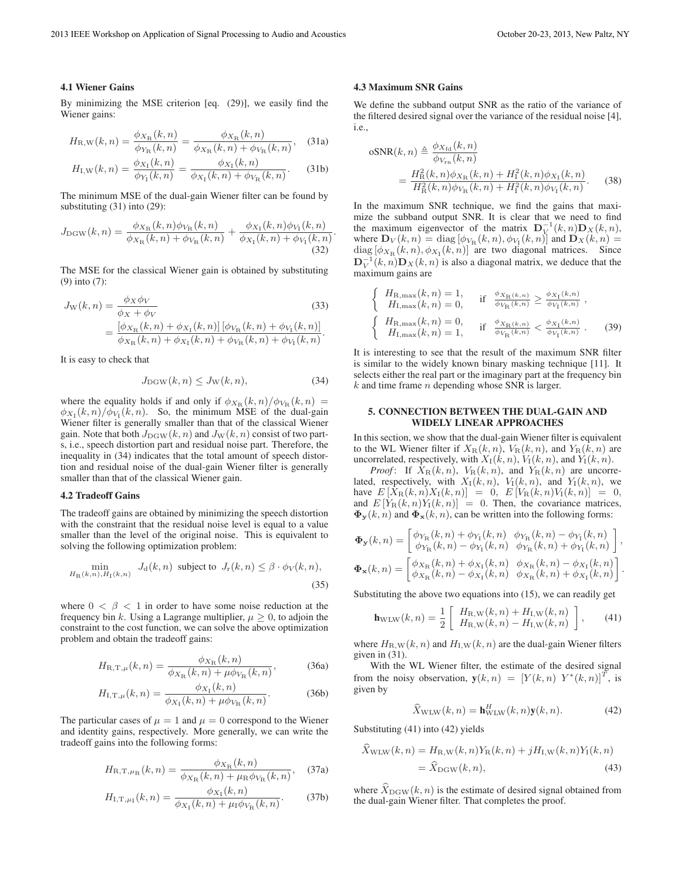#### 4.1 Wiener Gains

By minimizing the MSE criterion [eq. (29)], we easily find the Wiener gains:

$$
H_{\rm R,W}(k,n) = \frac{\phi_{X_{\rm R}}(k,n)}{\phi_{Y_{\rm R}}(k,n)} = \frac{\phi_{X_{\rm R}}(k,n)}{\phi_{X_{\rm R}}(k,n) + \phi_{V_{\rm R}}(k,n)},
$$
(31a)

$$
H_{\rm I, W}(k, n) = \frac{\phi_{X_{\rm I}}(k, n)}{\phi_{Y_{\rm I}}(k, n)} = \frac{\phi_{X_{\rm I}}(k, n)}{\phi_{X_{\rm I}}(k, n) + \phi_{V_{\rm R}}(k, n)}.
$$
 (31b)

The minimum MSE of the dual-gain Wiener filter can be found by substituting (31) into (29):

$$
J_{\text{DGW}}(k,n) = \frac{\phi_{X_{\text{R}}}(k,n)\phi_{V_{\text{R}}}(k,n)}{\phi_{X_{\text{R}}}(k,n) + \phi_{V_{\text{R}}}(k,n)} + \frac{\phi_{X_{\text{I}}}(k,n)\phi_{V_{\text{I}}}(k,n)}{\phi_{X_{\text{I}}}(k,n) + \phi_{V_{\text{I}}}(k,n)}
$$
(32)

The MSE for the classical Wiener gain is obtained by substituting (9) into (7):

$$
J_{\rm W}(k,n) = \frac{\phi_X \phi_V}{\phi_X + \phi_V}
$$
(33)  
= 
$$
\frac{[\phi_{X_{\rm R}}(k,n) + \phi_{X_{\rm I}}(k,n)] [\phi_{V_{\rm R}}(k,n) + \phi_{V_{\rm I}}(k,n)]}{\phi_{X_{\rm R}}(k,n) + \phi_{X_{\rm I}}(k,n) + \phi_{V_{\rm R}}(k,n) + \phi_{V_{\rm I}}(k,n)}.
$$

It is easy to check that

$$
J_{\text{DGW}}(k,n) \le J_{\text{W}}(k,n),\tag{34}
$$

where the equality holds if and only if  $\phi_{X_{\rm B}}(k,n)/\phi_{V_{\rm B}}(k,n)$  =  $\phi_{X_I}(k,n)/\phi_{V_I}(k,n)$ . So, the minimum MSE of the dual-gain Wiener filter is generally smaller than that of the classical Wiener gain. Note that both  $J_{\text{DGW}}(k, n)$  and  $J_{\text{W}}(k, n)$  consist of two parts, i.e., speech distortion part and residual noise part. Therefore, the inequality in (34) indicates that the total amount of speech distortion and residual noise of the dual-gain Wiener filter is generally smaller than that of the classical Wiener gain.

### 4.2 Tradeoff Gains

The tradeoff gains are obtained by minimizing the speech distortion with the constraint that the residual noise level is equal to a value smaller than the level of the original noise. This is equivalent to solving the following optimization problem:

$$
\min_{H_R(k,n), H_I(k,n)} J_d(k,n) \text{ subject to } J_r(k,n) \le \beta \cdot \phi_V(k,n),\tag{35}
$$

where  $0 < \beta < 1$  in order to have some noise reduction at the frequency bin k. Using a Lagrange multiplier,  $\mu \geq 0$ , to adjoin the constraint to the cost function, we can solve the above optimization problem and obtain the tradeoff gains:

$$
H_{\rm R,T,\mu}(k,n) = \frac{\phi_{X_{\rm R}}(k,n)}{\phi_{X_{\rm R}}(k,n) + \mu \phi_{V_{\rm R}}(k,n)},
$$
(36a)

$$
H_{\rm I,T,\mu}(k,n) = \frac{\phi_{X_{\rm I}}(k,n)}{\phi_{X_{\rm I}}(k,n) + \mu \phi_{V_{\rm R}}(k,n)}.
$$
 (36b)

The particular cases of  $\mu = 1$  and  $\mu = 0$  correspond to the Wiener and identity gains, respectively. More generally, we can write the tradeoff gains into the following forms:

$$
H_{\rm R,T,\mu_{\rm R}}(k,n) = \frac{\phi_{X_{\rm R}}(k,n)}{\phi_{X_{\rm R}}(k,n) + \mu_{\rm R}\phi_{V_{\rm R}}(k,n)},\quad(37a)
$$

$$
H_{\rm I,T,\mu_{\rm I}}(k,n) = \frac{\phi_{X_{\rm I}}(k,n)}{\phi_{X_{\rm I}}(k,n) + \mu_{\rm I} \phi_{V_{\rm R}}(k,n)}.
$$
 (37b)

#### 4.3 Maximum SNR Gains

.

We define the subband output SNR as the ratio of the variance of the filtered desired signal over the variance of the residual noise [4], i.e.,

$$
oSNR(k, n) \triangleq \frac{\phi_{X_{\text{fd}}}(k, n)}{\phi_{V_{\text{rn}}}(k, n)}
$$
  
= 
$$
\frac{H_{\text{R}}^{2}(k, n)\phi_{X_{\text{R}}}(k, n) + H_{1}^{2}(k, n)\phi_{X_{1}}(k, n)}{H_{\text{R}}^{2}(k, n)\phi_{V_{\text{R}}}(k, n) + H_{1}^{2}(k, n)\phi_{V_{1}}(k, n)}.
$$
 (38)

In the maximum SNR technique, we find the gains that maximize the subband output SNR. It is clear that we need to find the maximum eigenvector of the matrix  $D_V^{-1}(k,n)D_X(k,n)$ , where  $\mathbf{D}_V(k,n) = \text{diag} \left[ \phi_{V_{\text{R}}}(k,n), \phi_{V_{\text{I}}}(k,n) \right]$  and  $\mathbf{D}_X(k,n) =$ diag  $[\phi_{X_{\rm R}}(k,n), \phi_{X_{\rm I}}(k,n)]$  are two diagonal matrices. Since  $\mathbf{D}_V^{-1}(k,n)\mathbf{D}_X(k,n)$  is also a diagonal matrix, we deduce that the maximum gains are

$$
\begin{cases}\nH_{\text{R,max}}(k, n) = 1, & \text{if } \frac{\phi_{X_{\text{R}}(k, n)}}{\phi_{V_{\text{R}}}(k, n)} \ge \frac{\phi_{X_{\text{I}}}(k, n)}{\phi_{V_{\text{I}}}(k, n)}, \\
H_{\text{R,max}}(k, n) = 0, & \text{if } \frac{\phi_{X_{\text{R}}(k, n)}}{\phi_{V_{\text{R}}}(k, n)} < \frac{\phi_{X_{\text{I}}}(k, n)}{\phi_{V_{\text{I}}}(k, n)}. \n\end{cases}
$$
\n
$$
\begin{cases}\nH_{\text{R,max}}(k, n) = 0, & \text{if } \frac{\phi_{X_{\text{R}}(k, n)}}{\phi_{V_{\text{R}}}(k, n)} < \frac{\phi_{X_{\text{I}}}(k, n)}{\phi_{V_{\text{I}}}(k, n)}. \n\end{cases}
$$
\n
$$
(39)
$$

It is interesting to see that the result of the maximum SNR filter is similar to the widely known binary masking technique [11]. It selects either the real part or the imaginary part at the frequency bin  $k$  and time frame  $n$  depending whose SNR is larger.

## 5. CONNECTION BETWEEN THE DUAL-GAIN AND WIDELY LINEAR APPROACHES

In this section, we show that the dual-gain Wiener filter is equivalent to the WL Wiener filter if  $X_R(k,n)$ ,  $V_R(k,n)$ , and  $Y_R(k,n)$  are uncorrelated, respectively, with  $X_I(k, n)$ ,  $V_I(k, n)$ , and  $Y_I(k, n)$ .

*Proof*: If  $X_R(k,n)$ ,  $V_R(k,n)$ , and  $Y_R(k,n)$  are uncorrelated, respectively, with  $X_1(k, n)$ ,  $V_1(k, n)$ , and  $Y_1(k, n)$ , we have  $E[X_R(k,n)X_I(k,n)] = 0$ ,  $E[V_R(k,n)Y_I(k,n)] = 0$ , and  $E[Y_R(k,n)Y_I(k,n)] = 0$ . Then, the covariance matrices,  $\Phi_{\mathbf{y}}(k, n)$  and  $\Phi_{\mathbf{x}}(k, n)$ , can be written into the following forms:

$$
\begin{aligned} \boldsymbol{\Phi}_{\mathbf{y}}(k,n) &= \begin{bmatrix} \phi_{\text{Y}_\text{R}}(k,n) + \phi_{\text{Y}_\text{I}}(k,n) & \phi_{\text{Y}_\text{R}}(k,n) - \phi_{\text{Y}_\text{I}}(k,n) \\ \phi_{\text{Y}_\text{R}}(k,n) - \phi_{\text{Y}_\text{I}}(k,n) & \phi_{\text{Y}_\text{R}}(k,n) + \phi_{\text{Y}_\text{I}}(k,n) \end{bmatrix}, \\ \boldsymbol{\Phi}_{\mathbf{x}}(k,n) &= \begin{bmatrix} \phi_{\text{X}_\text{R}}(k,n) + \phi_{\text{X}_\text{I}}(k,n) & \phi_{\text{X}_\text{R}}(k,n) - \phi_{\text{X}_\text{I}}(k,n) \\ \phi_{\text{X}_\text{R}}(k,n) - \phi_{\text{X}_\text{I}}(k,n) & \phi_{\text{X}_\text{R}}(k,n) + \phi_{\text{X}_\text{I}}(k,n) \end{bmatrix}. \end{aligned}
$$

Substituting the above two equations into (15), we can readily get

$$
\mathbf{h}_{\text{WLW}}(k, n) = \frac{1}{2} \left[ H_{\text{R}, \text{W}}(k, n) + H_{\text{I}, \text{W}}(k, n) \atop H_{\text{R}, \text{W}}(k, n) - H_{\text{I}, \text{W}}(k, n) \right], \quad (41)
$$

where  $H_{\text{R,W}}(k, n)$  and  $H_{\text{I,W}}(k, n)$  are the dual-gain Wiener filters given in (31).

With the WL Wiener filter, the estimate of the desired signal from the noisy observation,  $y(k, n)=[Y (k, n) Y^*(k, n)]^T$ , is given by

$$
\widehat{X}_{\text{WLW}}(k,n) = \mathbf{h}_{\text{WLW}}^H(k,n)\mathbf{y}(k,n). \tag{42}
$$

Substituting (41) into (42) yields

$$
\hat{X}_{\text{WLW}}(k, n) = H_{\text{R}, \text{W}}(k, n) Y_{\text{R}}(k, n) + j H_{\text{I}, \text{W}}(k, n) Y_{\text{I}}(k, n) \n= \hat{X}_{\text{DGW}}(k, n),
$$
\n(43)

where  $X_{\text{DGW}}(k, n)$  is the estimate of desired signal obtained from the dual-gain Wiener filter. That completes the proof.